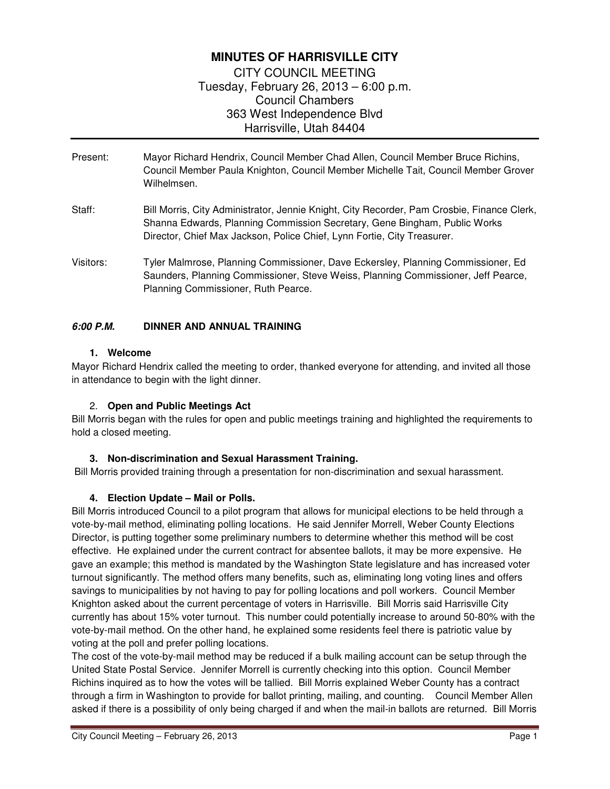# **MINUTES OF HARRISVILLE CITY**

CITY COUNCIL MEETING Tuesday, February 26, 2013 – 6:00 p.m. Council Chambers 363 West Independence Blvd Harrisville, Utah 84404

- Present: Mayor Richard Hendrix, Council Member Chad Allen, Council Member Bruce Richins, Council Member Paula Knighton, Council Member Michelle Tait, Council Member Grover Wilhelmsen.
- Staff: Bill Morris, City Administrator, Jennie Knight, City Recorder, Pam Crosbie, Finance Clerk, Shanna Edwards, Planning Commission Secretary, Gene Bingham, Public Works Director, Chief Max Jackson, Police Chief, Lynn Fortie, City Treasurer.
- Visitors: Tyler Malmrose, Planning Commissioner, Dave Eckersley, Planning Commissioner, Ed Saunders, Planning Commissioner, Steve Weiss, Planning Commissioner, Jeff Pearce, Planning Commissioner, Ruth Pearce.

## **6:00 P.M. DINNER AND ANNUAL TRAINING**

## **1. Welcome**

Mayor Richard Hendrix called the meeting to order, thanked everyone for attending, and invited all those in attendance to begin with the light dinner.

## 2. **Open and Public Meetings Act**

Bill Morris began with the rules for open and public meetings training and highlighted the requirements to hold a closed meeting.

## **3. Non-discrimination and Sexual Harassment Training.**

Bill Morris provided training through a presentation for non-discrimination and sexual harassment.

## **4. Election Update – Mail or Polls.**

Bill Morris introduced Council to a pilot program that allows for municipal elections to be held through a vote-by-mail method, eliminating polling locations. He said Jennifer Morrell, Weber County Elections Director, is putting together some preliminary numbers to determine whether this method will be cost effective. He explained under the current contract for absentee ballots, it may be more expensive. He gave an example; this method is mandated by the Washington State legislature and has increased voter turnout significantly. The method offers many benefits, such as, eliminating long voting lines and offers savings to municipalities by not having to pay for polling locations and poll workers. Council Member Knighton asked about the current percentage of voters in Harrisville. Bill Morris said Harrisville City currently has about 15% voter turnout. This number could potentially increase to around 50-80% with the vote-by-mail method. On the other hand, he explained some residents feel there is patriotic value by voting at the poll and prefer polling locations.

The cost of the vote-by-mail method may be reduced if a bulk mailing account can be setup through the United State Postal Service. Jennifer Morrell is currently checking into this option. Council Member Richins inquired as to how the votes will be tallied. Bill Morris explained Weber County has a contract through a firm in Washington to provide for ballot printing, mailing, and counting. Council Member Allen asked if there is a possibility of only being charged if and when the mail-in ballots are returned. Bill Morris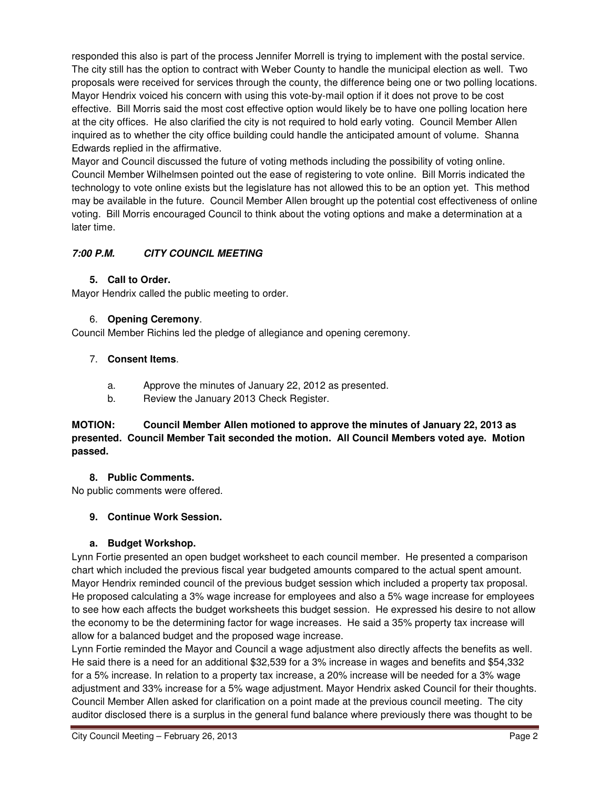responded this also is part of the process Jennifer Morrell is trying to implement with the postal service. The city still has the option to contract with Weber County to handle the municipal election as well. Two proposals were received for services through the county, the difference being one or two polling locations. Mayor Hendrix voiced his concern with using this vote-by-mail option if it does not prove to be cost effective. Bill Morris said the most cost effective option would likely be to have one polling location here at the city offices. He also clarified the city is not required to hold early voting. Council Member Allen inquired as to whether the city office building could handle the anticipated amount of volume. Shanna Edwards replied in the affirmative.

Mayor and Council discussed the future of voting methods including the possibility of voting online. Council Member Wilhelmsen pointed out the ease of registering to vote online. Bill Morris indicated the technology to vote online exists but the legislature has not allowed this to be an option yet. This method may be available in the future. Council Member Allen brought up the potential cost effectiveness of online voting. Bill Morris encouraged Council to think about the voting options and make a determination at a later time.

# **7:00 P.M. CITY COUNCIL MEETING**

## **5. Call to Order.**

Mayor Hendrix called the public meeting to order.

# 6. **Opening Ceremony**.

Council Member Richins led the pledge of allegiance and opening ceremony.

## 7. **Consent Items**.

- a. Approve the minutes of January 22, 2012 as presented.
- b. Review the January 2013 Check Register.

# **MOTION: Council Member Allen motioned to approve the minutes of January 22, 2013 as presented. Council Member Tait seconded the motion. All Council Members voted aye. Motion passed.**

## **8. Public Comments.**

No public comments were offered.

# **9. Continue Work Session.**

# **a. Budget Workshop.**

Lynn Fortie presented an open budget worksheet to each council member. He presented a comparison chart which included the previous fiscal year budgeted amounts compared to the actual spent amount. Mayor Hendrix reminded council of the previous budget session which included a property tax proposal. He proposed calculating a 3% wage increase for employees and also a 5% wage increase for employees to see how each affects the budget worksheets this budget session. He expressed his desire to not allow the economy to be the determining factor for wage increases. He said a 35% property tax increase will allow for a balanced budget and the proposed wage increase.

Lynn Fortie reminded the Mayor and Council a wage adjustment also directly affects the benefits as well. He said there is a need for an additional \$32,539 for a 3% increase in wages and benefits and \$54,332 for a 5% increase. In relation to a property tax increase, a 20% increase will be needed for a 3% wage adjustment and 33% increase for a 5% wage adjustment. Mayor Hendrix asked Council for their thoughts. Council Member Allen asked for clarification on a point made at the previous council meeting. The city auditor disclosed there is a surplus in the general fund balance where previously there was thought to be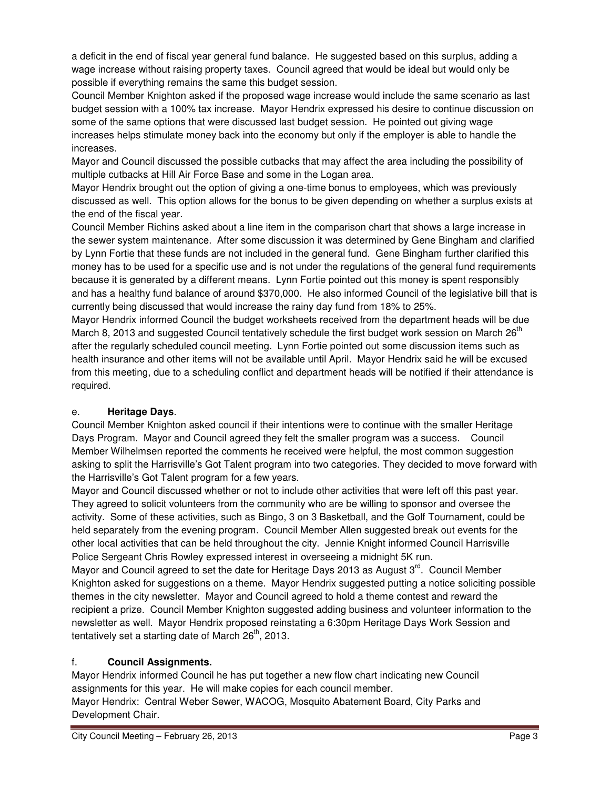a deficit in the end of fiscal year general fund balance. He suggested based on this surplus, adding a wage increase without raising property taxes. Council agreed that would be ideal but would only be possible if everything remains the same this budget session.

Council Member Knighton asked if the proposed wage increase would include the same scenario as last budget session with a 100% tax increase. Mayor Hendrix expressed his desire to continue discussion on some of the same options that were discussed last budget session. He pointed out giving wage increases helps stimulate money back into the economy but only if the employer is able to handle the increases.

Mayor and Council discussed the possible cutbacks that may affect the area including the possibility of multiple cutbacks at Hill Air Force Base and some in the Logan area.

Mayor Hendrix brought out the option of giving a one-time bonus to employees, which was previously discussed as well. This option allows for the bonus to be given depending on whether a surplus exists at the end of the fiscal year.

Council Member Richins asked about a line item in the comparison chart that shows a large increase in the sewer system maintenance. After some discussion it was determined by Gene Bingham and clarified by Lynn Fortie that these funds are not included in the general fund. Gene Bingham further clarified this money has to be used for a specific use and is not under the regulations of the general fund requirements because it is generated by a different means. Lynn Fortie pointed out this money is spent responsibly and has a healthy fund balance of around \$370,000. He also informed Council of the legislative bill that is currently being discussed that would increase the rainy day fund from 18% to 25%.

Mayor Hendrix informed Council the budget worksheets received from the department heads will be due March 8, 2013 and suggested Council tentatively schedule the first budget work session on March 26 $<sup>th</sup>$ </sup> after the regularly scheduled council meeting. Lynn Fortie pointed out some discussion items such as health insurance and other items will not be available until April. Mayor Hendrix said he will be excused from this meeting, due to a scheduling conflict and department heads will be notified if their attendance is required.

# e. **Heritage Days**.

Council Member Knighton asked council if their intentions were to continue with the smaller Heritage Days Program. Mayor and Council agreed they felt the smaller program was a success. Council Member Wilhelmsen reported the comments he received were helpful, the most common suggestion asking to split the Harrisville's Got Talent program into two categories. They decided to move forward with the Harrisville's Got Talent program for a few years.

Mayor and Council discussed whether or not to include other activities that were left off this past year. They agreed to solicit volunteers from the community who are be willing to sponsor and oversee the activity. Some of these activities, such as Bingo, 3 on 3 Basketball, and the Golf Tournament, could be held separately from the evening program. Council Member Allen suggested break out events for the other local activities that can be held throughout the city. Jennie Knight informed Council Harrisville Police Sergeant Chris Rowley expressed interest in overseeing a midnight 5K run.

Mayor and Council agreed to set the date for Heritage Days 2013 as August  $3<sup>rd</sup>$ . Council Member Knighton asked for suggestions on a theme. Mayor Hendrix suggested putting a notice soliciting possible themes in the city newsletter. Mayor and Council agreed to hold a theme contest and reward the recipient a prize. Council Member Knighton suggested adding business and volunteer information to the newsletter as well. Mayor Hendrix proposed reinstating a 6:30pm Heritage Days Work Session and tentatively set a starting date of March  $26<sup>th</sup>$ , 2013.

# f. **Council Assignments.**

Mayor Hendrix informed Council he has put together a new flow chart indicating new Council assignments for this year. He will make copies for each council member. Mayor Hendrix: Central Weber Sewer, WACOG, Mosquito Abatement Board, City Parks and Development Chair.